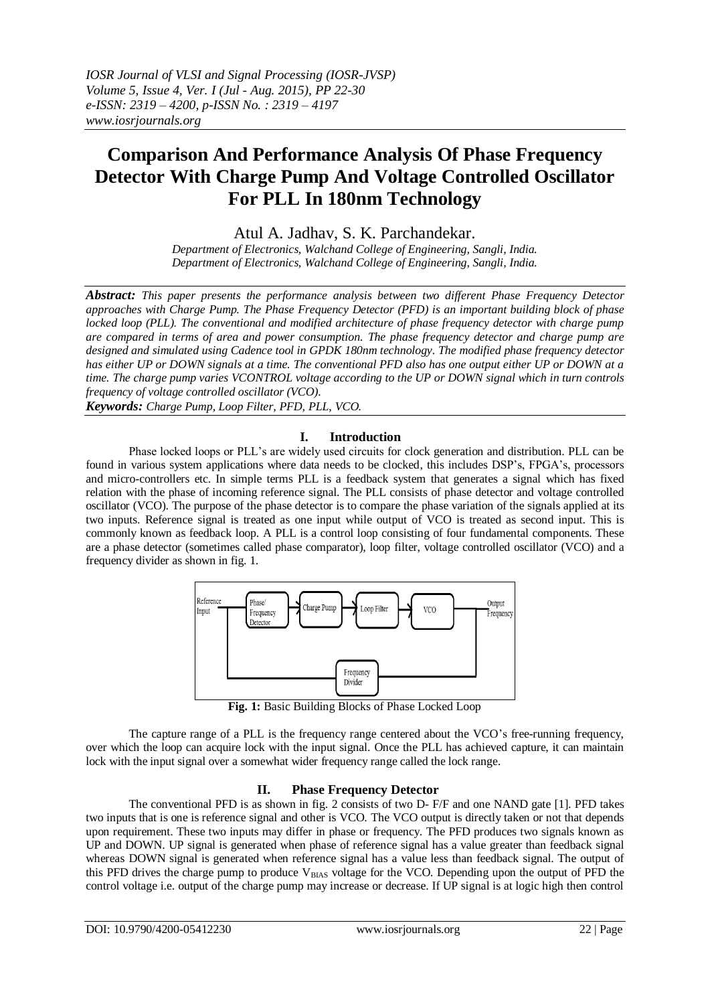# **Comparison And Performance Analysis Of Phase Frequency Detector With Charge Pump And Voltage Controlled Oscillator For PLL In 180nm Technology**

Atul A. Jadhav, S. K. Parchandekar.

*Department of Electronics, Walchand College of Engineering, Sangli, India. Department of Electronics, Walchand College of Engineering, Sangli, India.*

*Abstract: This paper presents the performance analysis between two different Phase Frequency Detector approaches with Charge Pump. The Phase Frequency Detector (PFD) is an important building block of phase locked loop (PLL). The conventional and modified architecture of phase frequency detector with charge pump are compared in terms of area and power consumption. The phase frequency detector and charge pump are designed and simulated using Cadence tool in GPDK 180nm technology. The modified phase frequency detector has either UP or DOWN signals at a time. The conventional PFD also has one output either UP or DOWN at a time. The charge pump varies VCONTROL voltage according to the UP or DOWN signal which in turn controls frequency of voltage controlled oscillator (VCO).*

*Keywords: Charge Pump, Loop Filter, PFD, PLL, VCO.*

#### **I. Introduction**

Phase locked loops or PLL's are widely used circuits for clock generation and distribution. PLL can be found in various system applications where data needs to be clocked, this includes DSP's, FPGA's, processors and micro-controllers etc. In simple terms PLL is a feedback system that generates a signal which has fixed relation with the phase of incoming reference signal. The PLL consists of phase detector and voltage controlled oscillator (VCO). The purpose of the phase detector is to compare the phase variation of the signals applied at its two inputs. Reference signal is treated as one input while output of VCO is treated as second input. This is commonly known as feedback loop. A PLL is a control loop consisting of four fundamental components. These are a phase detector (sometimes called phase comparator), loop filter, voltage controlled oscillator (VCO) and a frequency divider as shown in fig. 1.



**Fig. 1:** Basic Building Blocks of Phase Locked Loop

The capture range of a PLL is the frequency range centered about the VCO's free-running frequency, over which the loop can acquire lock with the input signal. Once the PLL has achieved capture, it can maintain lock with the input signal over a somewhat wider frequency range called the lock range.

#### **II. Phase Frequency Detector**

The conventional PFD is as shown in fig. 2 consists of two D- F/F and one NAND gate [1]. PFD takes two inputs that is one is reference signal and other is VCO. The VCO output is directly taken or not that depends upon requirement. These two inputs may differ in phase or frequency. The PFD produces two signals known as UP and DOWN. UP signal is generated when phase of reference signal has a value greater than feedback signal whereas DOWN signal is generated when reference signal has a value less than feedback signal. The output of this PFD drives the charge pump to produce  $V_{BIAS}$  voltage for the VCO. Depending upon the output of PFD the control voltage i.e. output of the charge pump may increase or decrease. If UP signal is at logic high then control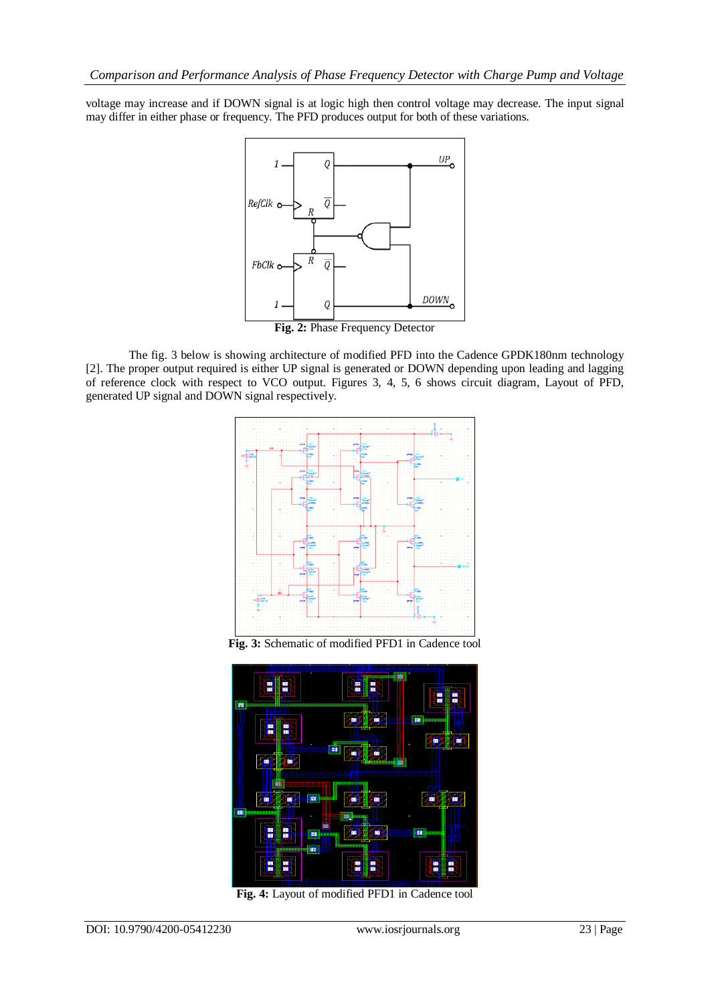voltage may increase and if DOWN signal is at logic high then control voltage may decrease. The input signal may differ in either phase or frequency. The PFD produces output for both of these variations.



The fig. 3 below is showing architecture of modified PFD into the Cadence GPDK180nm technology [2]. The proper output required is either UP signal is generated or DOWN depending upon leading and lagging of reference clock with respect to VCO output. Figures 3, 4, 5, 6 shows circuit diagram, Layout of PFD, generated UP signal and DOWN signal respectively.



**Fig. 3:** Schematic of modified PFD1 in Cadence tool



**Fig. 4:** Layout of modified PFD1 in Cadence tool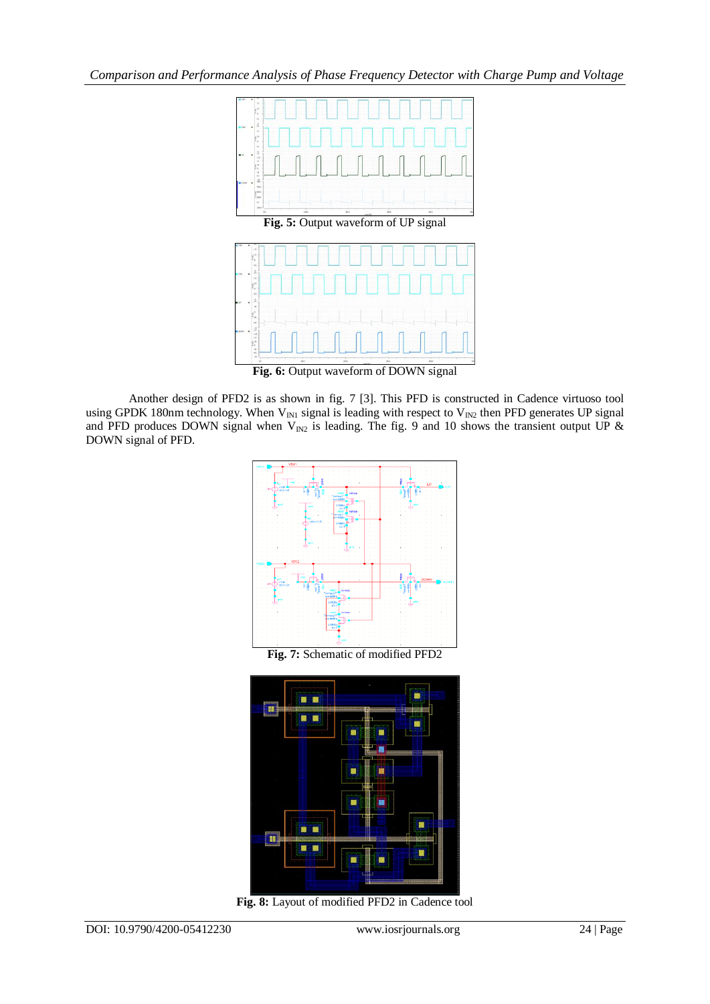*Comparison and Performance Analysis of Phase Frequency Detector with Charge Pump and Voltage* 



Another design of PFD2 is as shown in fig. 7 [3]. This PFD is constructed in Cadence virtuoso tool using GPDK 180nm technology. When  $V_{IN1}$  signal is leading with respect to  $V_{IN2}$  then PFD generates UP signal and PFD produces DOWN signal when  $V_{IN2}$  is leading. The fig. 9 and 10 shows the transient output UP  $\&$ DOWN signal of PFD.



**Fig. 7:** Schematic of modified PFD2



**Fig. 8:** Layout of modified PFD2 in Cadence tool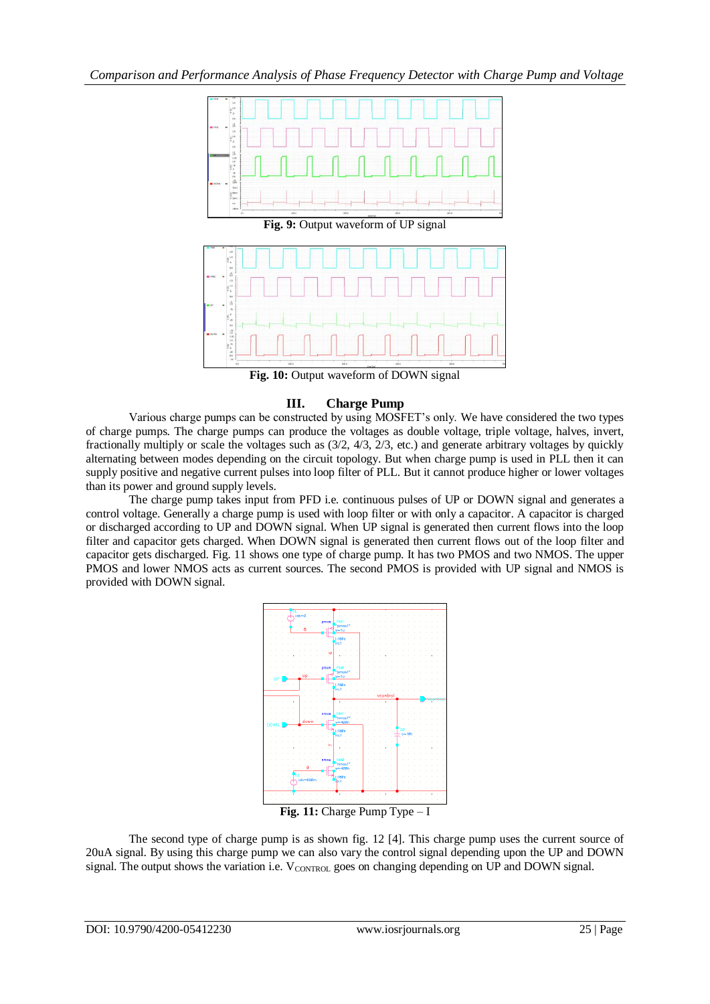

**Fig. 10:** Output waveform of DOWN signal

# **III. Charge Pump**

Various charge pumps can be constructed by using MOSFET's only. We have considered the two types of charge pumps. The charge pumps can produce the voltages as double voltage, triple voltage, halves, invert, fractionally multiply or scale the voltages such as (3/2, 4/3, 2/3, etc.) and generate arbitrary voltages by quickly alternating between modes depending on the circuit topology. But when charge pump is used in PLL then it can supply positive and negative current pulses into loop filter of PLL. But it cannot produce higher or lower voltages than its power and ground supply levels.

The charge pump takes input from PFD i.e. continuous pulses of UP or DOWN signal and generates a control voltage. Generally a charge pump is used with loop filter or with only a capacitor. A capacitor is charged or discharged according to UP and DOWN signal. When UP signal is generated then current flows into the loop filter and capacitor gets charged. When DOWN signal is generated then current flows out of the loop filter and capacitor gets discharged. Fig. 11 shows one type of charge pump. It has two PMOS and two NMOS. The upper PMOS and lower NMOS acts as current sources. The second PMOS is provided with UP signal and NMOS is provided with DOWN signal.



The second type of charge pump is as shown fig. 12 [4]. This charge pump uses the current source of 20uA signal. By using this charge pump we can also vary the control signal depending upon the UP and DOWN signal. The output shows the variation i.e.  $V_{\text{CONTROL}}$  goes on changing depending on UP and DOWN signal.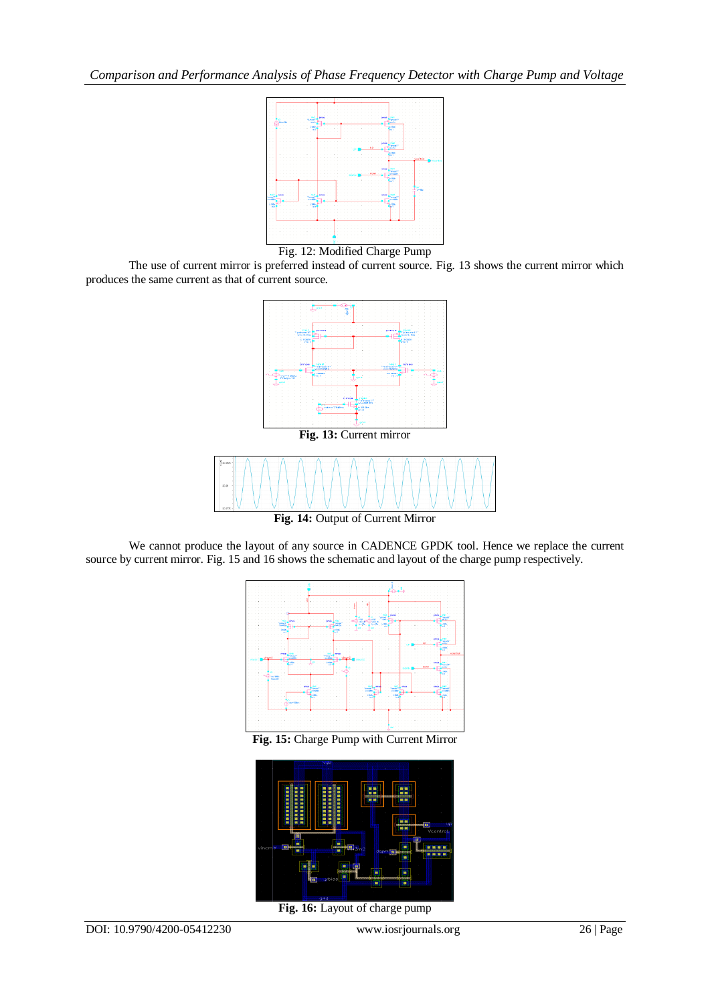

Fig. 12: Modified Charge Pump

The use of current mirror is preferred instead of current source. Fig. 13 shows the current mirror which produces the same current as that of current source.



We cannot produce the layout of any source in CADENCE GPDK tool. Hence we replace the current source by current mirror. Fig. 15 and 16 shows the schematic and layout of the charge pump respectively.



**Fig. 15:** Charge Pump with Current Mirror



**Fig. 16:** Layout of charge pump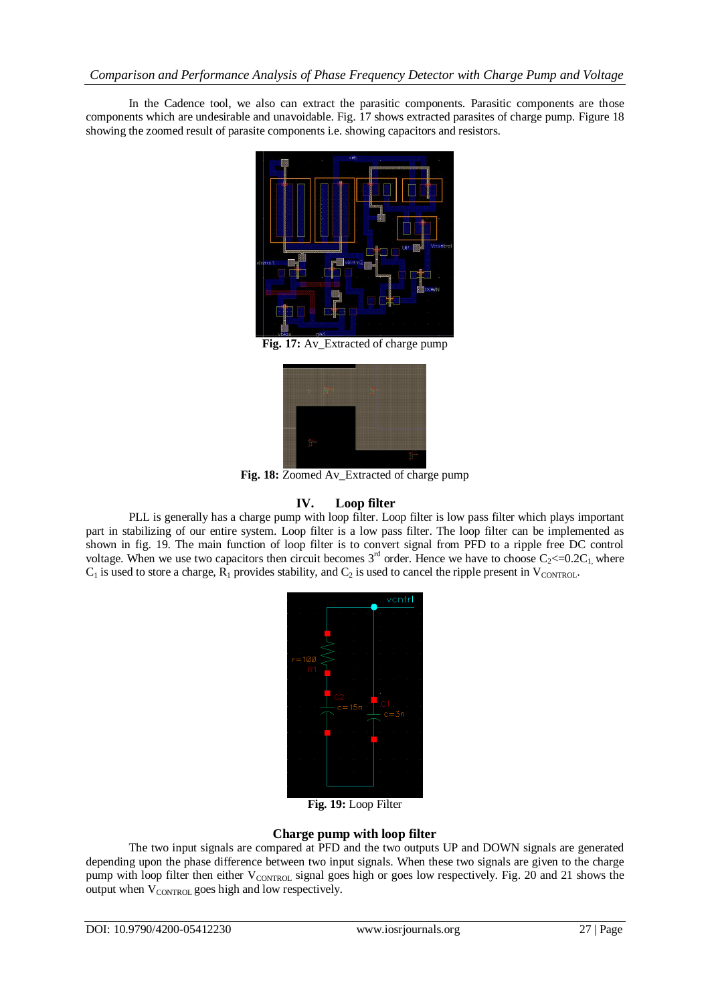In the Cadence tool, we also can extract the parasitic components. Parasitic components are those components which are undesirable and unavoidable. Fig. 17 shows extracted parasites of charge pump. Figure 18 showing the zoomed result of parasite components i.e. showing capacitors and resistors.



**Fig. 17:** Av\_Extracted of charge pump



**Fig. 18:** Zoomed Av\_Extracted of charge pump

#### **IV. Loop filter**

PLL is generally has a charge pump with loop filter. Loop filter is low pass filter which plays important part in stabilizing of our entire system. Loop filter is a low pass filter. The loop filter can be implemented as shown in fig. 19. The main function of loop filter is to convert signal from PFD to a ripple free DC control voltage. When we use two capacitors then circuit becomes  $3<sup>rd</sup>$  order. Hence we have to choose  $C_2 \le 0.2C_1$  where  $C_1$  is used to store a charge,  $R_1$  provides stability, and  $C_2$  is used to cancel the ripple present in V<sub>CONTROL</sub>.



**Fig. 19:** Loop Filter

# **Charge pump with loop filter**

The two input signals are compared at PFD and the two outputs UP and DOWN signals are generated depending upon the phase difference between two input signals. When these two signals are given to the charge pump with loop filter then either V<sub>CONTROL</sub> signal goes high or goes low respectively. Fig. 20 and 21 shows the output when  $V_{\text{CONTROI}}$  goes high and low respectively.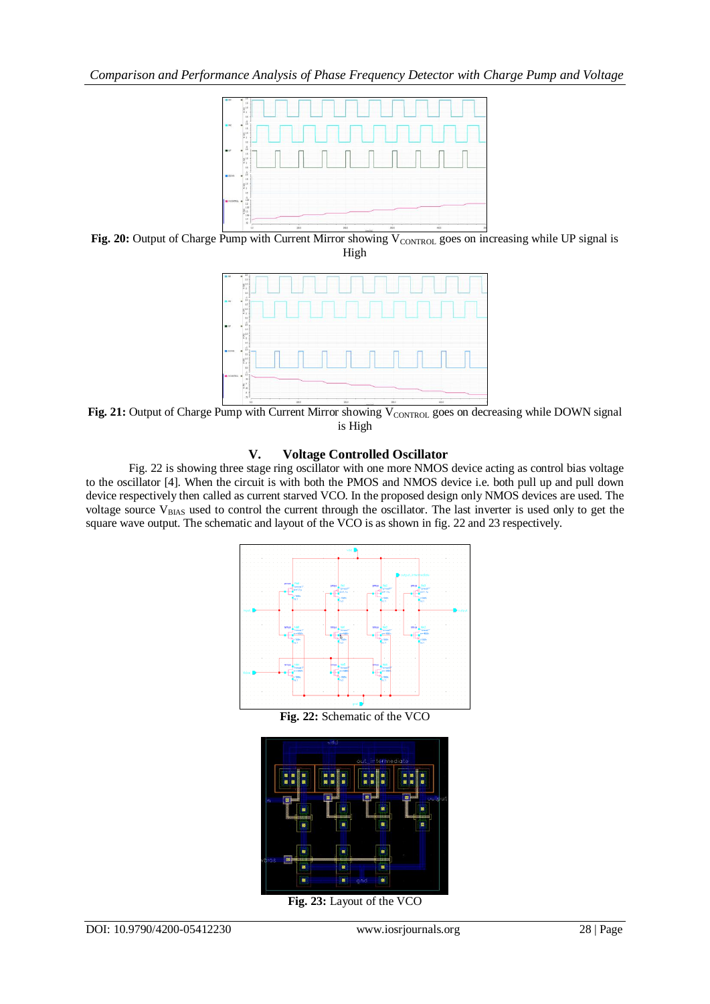

Fig. 20: Output of Charge Pump with Current Mirror showing V<sub>CONTROL</sub> goes on increasing while UP signal is High



Fig. 21: Output of Charge Pump with Current Mirror showing V<sub>CONTROL</sub> goes on decreasing while DOWN signal is High

## **V. Voltage Controlled Oscillator**

Fig. 22 is showing three stage ring oscillator with one more NMOS device acting as control bias voltage to the oscillator [4]. When the circuit is with both the PMOS and NMOS device i.e. both pull up and pull down device respectively then called as current starved VCO. In the proposed design only NMOS devices are used. The voltage source  $V_{BIAS}$  used to control the current through the oscillator. The last inverter is used only to get the square wave output. The schematic and layout of the VCO is as shown in fig. 22 and 23 respectively.



**Fig. 22:** Schematic of the VCO



**Fig. 23:** Layout of the VCO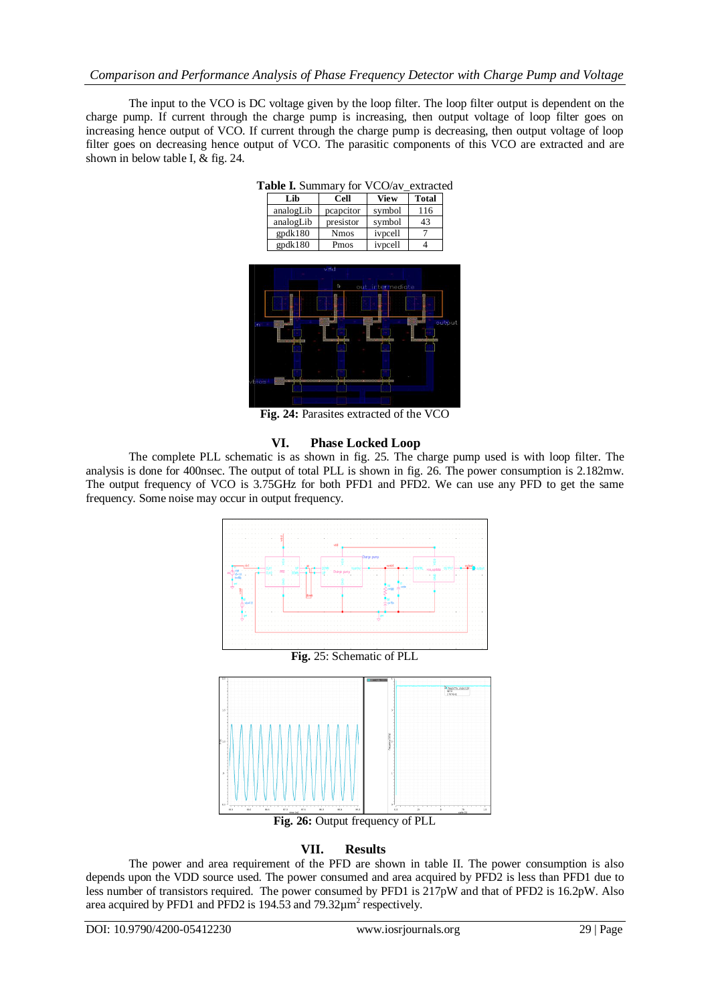## *Comparison and Performance Analysis of Phase Frequency Detector with Charge Pump and Voltage*

The input to the VCO is DC voltage given by the loop filter. The loop filter output is dependent on the charge pump. If current through the charge pump is increasing, then output voltage of loop filter goes on increasing hence output of VCO. If current through the charge pump is decreasing, then output voltage of loop filter goes on decreasing hence output of VCO. The parasitic components of this VCO are extracted and are shown in below table I, & fig. 24.

| <b>Cell</b> | <b>View</b> | <b>Total</b> |  |  |
|-------------|-------------|--------------|--|--|
| pcapcitor   | symbol      | 116          |  |  |
| presistor   | symbol      | 43           |  |  |
| <b>Nmos</b> | ivpcell     |              |  |  |
| Pmos        | ivpcell     |              |  |  |
|             |             |              |  |  |

**Table I.** Summary for VCO/av\_extracted



**Fig. 24:** Parasites extracted of the VCO

#### **VI. Phase Locked Loop**

The complete PLL schematic is as shown in fig. 25. The charge pump used is with loop filter. The analysis is done for 400nsec. The output of total PLL is shown in fig. 26. The power consumption is 2.182mw. The output frequency of VCO is 3.75GHz for both PFD1 and PFD2. We can use any PFD to get the same frequency. Some noise may occur in output frequency.



**Fig. 26:** Output frequency of PLL

#### **VII. Results**

The power and area requirement of the PFD are shown in table II. The power consumption is also depends upon the VDD source used. The power consumed and area acquired by PFD2 is less than PFD1 due to less number of transistors required. The power consumed by PFD1 is 217pW and that of PFD2 is 16.2pW. Also area acquired by PFD1 and PFD2 is 194.53 and 79.32 $\mu$ m<sup>2</sup> respectively.